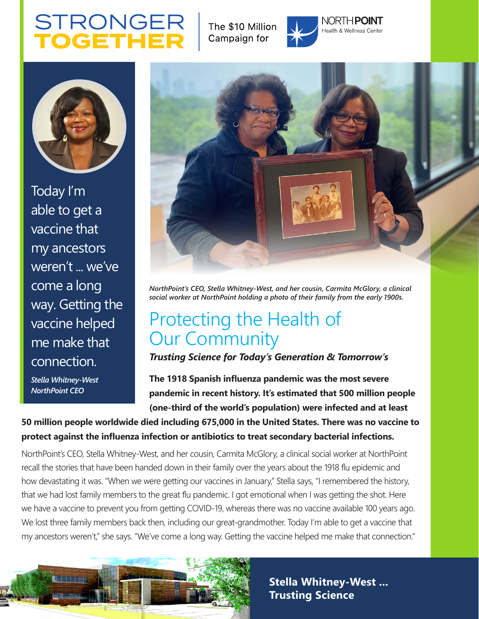# **STRONGER OGETH**

The \$10 Million Campaign for



NORTH**POINT** Health & Wellness Center



Today I'm able to get a vaccine that my ancestors weren't ... we've come a long way. Getting the vaccine helped me make that connection.

*Stella Whitney-West NorthPoint CEO*



*NorthPoint's CEO, Stella Whitney-West, and her cousin, Carmita McGlory, a clinical social worker at NorthPoint holding a photo of their family from the early 1900s.*

# Protecting the Health of Our Community

*Trusting Science for Today's Generation & Tomorrow's* 

**The 1918 Spanish influenza pandemic was the most severe pandemic in recent history. It's estimated that 500 million people (one-third of the world's population) were infected and at least** 

**50 million people worldwide died including 675,000 in the United States. There was no vaccine to protect against the influenza infection or antibiotics to treat secondary bacterial infections.** 

NorthPoint's CEO, Stella Whitney-West, and her cousin, Carmita McGlory, a clinical social worker at NorthPoint recall the stories that have been handed down in their family over the years about the 1918 flu epidemic and how devastating it was. "When we were getting our vaccines in January," Stella says, "I remembered the history, that we had lost family members to the great flu pandemic. I got emotional when I was getting the shot. Here we have a vaccine to prevent you from getting COVID-19, whereas there was no vaccine available 100 years ago. We lost three family members back then, including our great-grandmother. Today I'm able to get a vaccine that my ancestors weren't," she says. "We've come a long way. Getting the vaccine helped me make that connection."



**Stella Whitney-West ... Trusting Science**